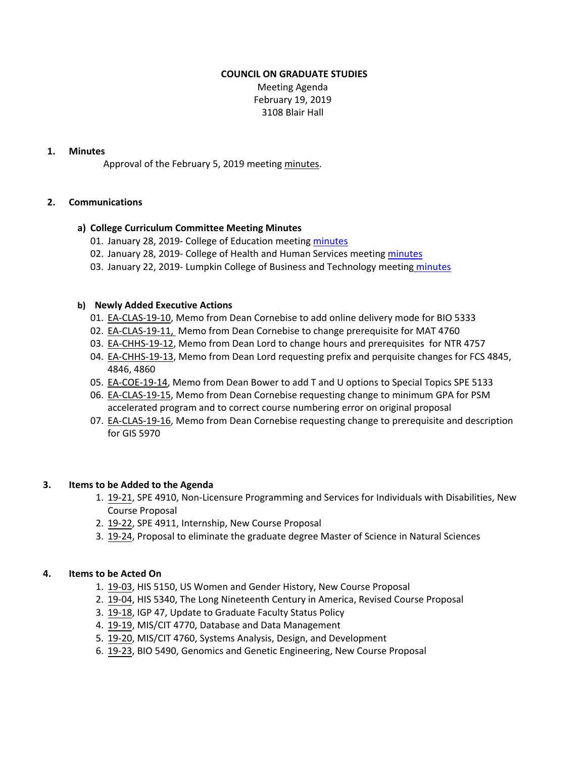## **COUNCIL ON GRADUATE STUDIES**

Meeting Agenda February 19, 2019 3108 Blair Hall

## **1. Minutes**

Approval of the February 5, 2019 meeting [minutes.](http://castle.eiu.edu/eiucgs/currentminutes/Minutes2-5-19.pdf)

## **2. Communications**

## **a) College Curriculum Committee Meeting Minutes**

- 01. January 28, 2019- College of Education meeting [minutes](https://www.eiu.edu/coe/coe_curr_minutes_01282019.pdf)
- 02. January 28, 2019‐ College of Health and Human Services meeting [minutes](https://www.eiu.edu/healthcol/curriculum.php)
- 03. January 22, 2019- Lumpkin College of Business and Technology meeting [minutes](https://www.eiu.edu/lumpkin/curriculum/lcbatcurrmin20190122.pdf)

## **b) Newly Added Executive Actions**

- 01. EA‐[CLAS](http://castle.eiu.edu/eiucgs/exec-actions/EA-CLAS-19-10.pdf)‐19‐10, Memo from Dean Cornebise to add online delivery mode for BIO 5333
- 02. EA-[CLAS](http://castle.eiu.edu/eiucgs/exec-actions/EA-CLAS-19-11.pdf)-19-11, Memo from Dean Cornebise to change prerequisite for MAT 4760
- 03. EA-[CHHS](http://castle.eiu.edu/eiucgs/exec-actions/EA-CHHS-19-12.pdf)-19-12, Memo from Dean Lord to change hours and prerequisites for NTR 4757
- 04. EA-[CHHS](http://castle.eiu.edu/eiucgs/exec-actions/EA-CHHS-19-13.pdf)-19-13, Memo from Dean Lord requesting prefix and perquisite changes for FCS 4845, 4846, 4860
- 05. EA-[COE](http://castle.eiu.edu/eiucgs/exec-actions/EA-COE-19-14.pdf)-19-14, Memo from Dean Bower to add T and U options to Special Topics SPE 5133
- 06. EA‐[CLAS](http://castle.eiu.edu/eiucgs/exec-actions/EA-CLAS-19-15.pdf)‐19‐15, Memo from Dean Cornebise requesting change to minimum GPA for PSM accelerated program and to correct course numbering error on original proposal
- 07. EA-[CLAS](http://castle.eiu.edu/eiucgs/exec-actions/EA-CLAS-19-16.pdf)-19-16, Memo from Dean Cornebise requesting change to prerequisite and description for GIS 5970

#### **3. Items to be Added to the Agenda**

- 1. 19‐[21,](http://castle.eiu.edu/eiucgs/currentagendaitems/agenda19-21.pdf) SPE 4910, Non‐Licensure Programming and Services for Individuals with Disabilities, New Course Proposal
- 2. 19‐[22,](http://castle.eiu.edu/eiucgs/currentagendaitems/agenda19-22.pdf) SPE 4911, Internship, New Course Proposal
- 3. 19‐[24,](http://castle.eiu.edu/eiucgs/currentagendaitems/agenda19-24.pdf) Proposal to eliminate the graduate degree Master of Science in Natural Sciences

#### **4. Items to be Acted On**

- 1. 19‐[03,](http://castle.eiu.edu/eiucgs/currentagendaitems/agenda19-03.pdf) HIS 5150, US Women and Gender History, New Course Proposal
- 2. 19‐[04,](http://castle.eiu.edu/eiucgs/currentagendaitems/agenda19-04.pdf) HIS 5340, The Long Nineteenth Century in America, Revised Course Proposal
- 3. 19‐[18,](http://castle.eiu.edu/eiucgs/currentagendaitems/agenda19-18.pdf) IGP 47, Update to Graduate Faculty Status Policy
- 4. 19‐[19,](http://castle.eiu.edu/eiucgs/currentagendaitems/agenda19-19.pdf) MIS/CIT 4770, Database and Data Management
- 5. 19‐[20,](http://castle.eiu.edu/eiucgs/currentagendaitems/agenda19-20.pdf) MIS/CIT 4760, Systems Analysis, Design, and Development
- 6. 19‐[23,](http://castle.eiu.edu/eiucgs/currentagendaitems/agenda19-23.pdf) BIO 5490, Genomics and Genetic Engineering, New Course Proposal